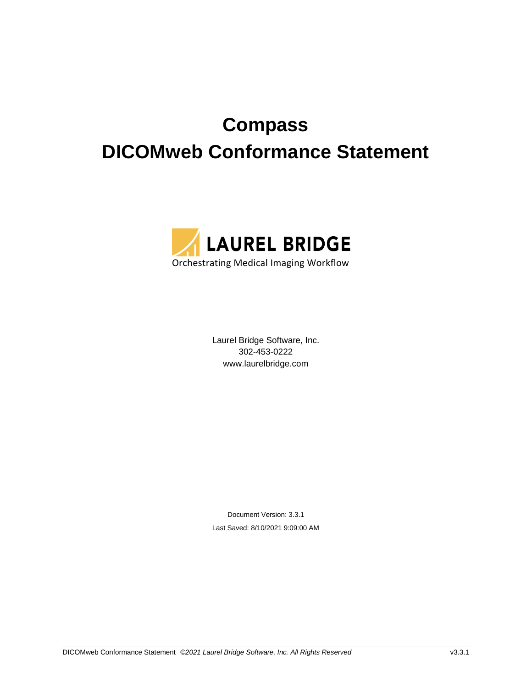# **Compass DICOMweb Conformance Statement**



Laurel Bridge Software, Inc. 302-453-0222 www.laurelbridge.com

Document Version: 3.3.1 Last Saved: 8/10/2021 9:09:00 AM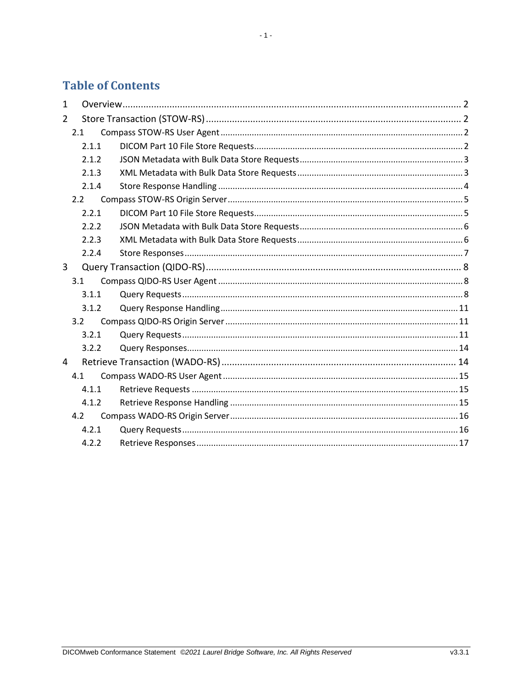# **Table of Contents**

| $\mathbf{1}$   |       |  |  |  |  |
|----------------|-------|--|--|--|--|
| $\overline{2}$ |       |  |  |  |  |
|                | 2.1   |  |  |  |  |
|                | 2.1.1 |  |  |  |  |
|                | 2.1.2 |  |  |  |  |
|                | 2.1.3 |  |  |  |  |
|                | 2.1.4 |  |  |  |  |
|                | 2.2   |  |  |  |  |
|                | 2.2.1 |  |  |  |  |
|                | 2.2.2 |  |  |  |  |
|                | 2.2.3 |  |  |  |  |
|                | 2.2.4 |  |  |  |  |
| $\overline{3}$ |       |  |  |  |  |
|                | 3.1   |  |  |  |  |
|                | 3.1.1 |  |  |  |  |
|                | 3.1.2 |  |  |  |  |
|                | 3.2   |  |  |  |  |
|                | 3.2.1 |  |  |  |  |
|                | 3.2.2 |  |  |  |  |
| $\overline{4}$ |       |  |  |  |  |
|                | 4.1   |  |  |  |  |
|                | 4.1.1 |  |  |  |  |
|                | 4.1.2 |  |  |  |  |
|                | 4.2   |  |  |  |  |
|                | 4.2.1 |  |  |  |  |
|                | 4.2.2 |  |  |  |  |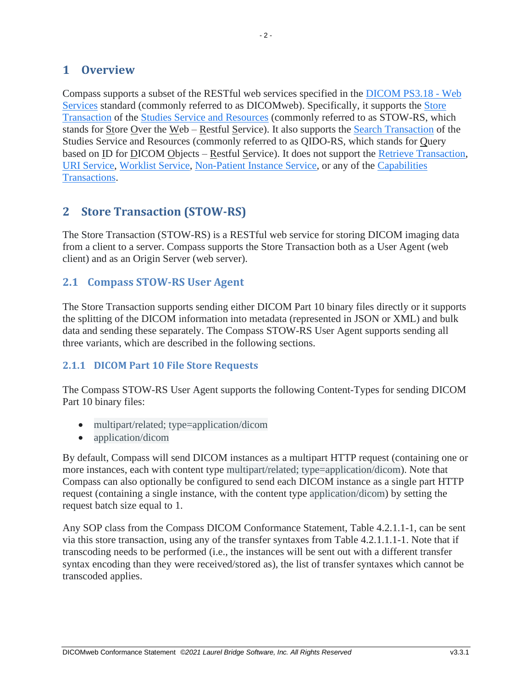# <span id="page-2-0"></span>**1 Overview**

Compass supports a subset of the RESTful web services specified in the [DICOM PS3.18 -](http://dicom.nema.org/medical/dicom/current/output/html/part18.html) Web [Services](http://dicom.nema.org/medical/dicom/current/output/html/part18.html) standard (commonly referred to as DICOMweb). Specifically, it supports the [Store](http://dicom.nema.org/medical/dicom/current/output/html/part18.html#sect_10.5)  [Transaction](http://dicom.nema.org/medical/dicom/current/output/html/part18.html#sect_10.5) of the [Studies Service and Resources](http://dicom.nema.org/medical/dicom/current/output/html/part18.html#chapter_10) (commonly referred to as STOW-RS, which stands for Store Over the Web – Restful Service). It also supports the [Search Transaction](http://dicom.nema.org/medical/dicom/current/output/html/part18.html#sect_10.6) of the Studies Service and Resources (commonly referred to as QIDO-RS, which stands for Query based on ID for DICOM Objects – Restful Service). It does not support the [Retrieve Transaction,](http://dicom.nema.org/medical/dicom/current/output/html/part18.html#sect_10.4) [URI Service,](http://dicom.nema.org/medical/dicom/current/output/html/part18.html#chapter_9) [Worklist Service,](http://dicom.nema.org/medical/dicom/current/output/html/part18.html#chapter_11) [Non-Patient Instance Service,](http://dicom.nema.org/medical/dicom/current/output/html/part18.html#chapter_12) or any of the [Capabilities](http://dicom.nema.org/medical/dicom/current/output/html/part18.html#sect_8.9)  [Transactions.](http://dicom.nema.org/medical/dicom/current/output/html/part18.html#sect_8.9)

# <span id="page-2-1"></span>**2 Store Transaction (STOW-RS)**

The Store Transaction (STOW-RS) is a RESTful web service for storing DICOM imaging data from a client to a server. Compass supports the Store Transaction both as a User Agent (web client) and as an Origin Server (web server).

# <span id="page-2-2"></span>**2.1 Compass STOW-RS User Agent**

The Store Transaction supports sending either DICOM Part 10 binary files directly or it supports the splitting of the DICOM information into metadata (represented in JSON or XML) and bulk data and sending these separately. The Compass STOW-RS User Agent supports sending all three variants, which are described in the following sections.

#### <span id="page-2-3"></span>**2.1.1 DICOM Part 10 File Store Requests**

The Compass STOW-RS User Agent supports the following Content-Types for sending DICOM Part 10 binary files:

- multipart/related; type=application/dicom
- application/dicom

By default, Compass will send DICOM instances as a multipart HTTP request (containing one or more instances, each with content type multipart/related; type=application/dicom). Note that Compass can also optionally be configured to send each DICOM instance as a single part HTTP request (containing a single instance, with the content type application/dicom) by setting the request batch size equal to 1.

Any SOP class from the Compass DICOM Conformance Statement, Table 4.2.1.1-1, can be sent via this store transaction, using any of the transfer syntaxes from Table 4.2.1.1.1-1. Note that if transcoding needs to be performed (i.e., the instances will be sent out with a different transfer syntax encoding than they were received/stored as), the list of transfer syntaxes which cannot be transcoded applies.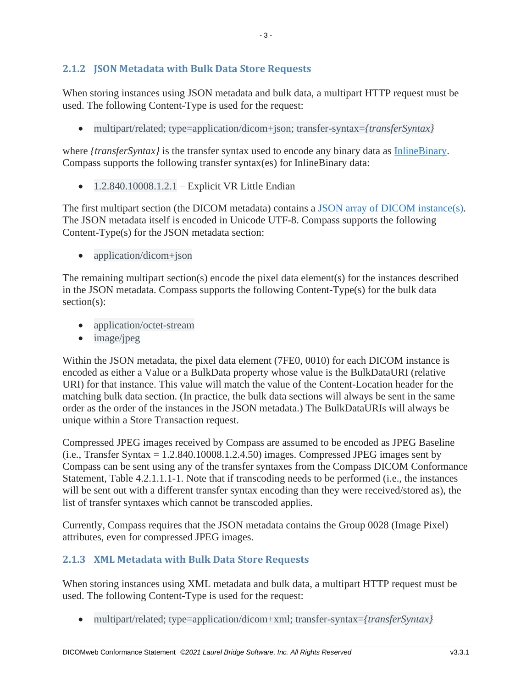# <span id="page-3-0"></span>**2.1.2 JSON Metadata with Bulk Data Store Requests**

When storing instances using JSON metadata and bulk data, a multipart HTTP request must be used. The following Content-Type is used for the request:

• multipart/related; type=application/dicom+json; transfer-syntax=*{transferSyntax}*

where *{transferSyntax}* is the transfer syntax used to encode any binary data as [InlineBinary.](http://dicom.nema.org/medical/dicom/current/output/html/part18.html#sect_F.2.7) Compass supports the following transfer syntax(es) for InlineBinary data:

 $\bullet$  1.2.840.10008.1.2.1 – Explicit VR Little Endian

The first multipart section (the DICOM metadata) contains a [JSON array of DICOM instance\(s\)](http://dicom.nema.org/medical/dicom/current/output/html/part18.html#chapter_F). The JSON metadata itself is encoded in Unicode UTF-8. Compass supports the following Content-Type(s) for the JSON metadata section:

• application/dicom+json

The remaining multipart section(s) encode the pixel data element(s) for the instances described in the JSON metadata. Compass supports the following Content-Type(s) for the bulk data section(s):

- application/octet-stream
- image/jpeg

Within the JSON metadata, the pixel data element (7FE0, 0010) for each DICOM instance is encoded as either a Value or a BulkData property whose value is the BulkDataURI (relative URI) for that instance. This value will match the value of the Content-Location header for the matching bulk data section. (In practice, the bulk data sections will always be sent in the same order as the order of the instances in the JSON metadata.) The BulkDataURIs will always be unique within a Store Transaction request.

Compressed JPEG images received by Compass are assumed to be encoded as JPEG Baseline  $(i.e., Transfer Syntax = 1.2.840.10008.1.2.4.50) images. Compressed JPEG images sent by$ Compass can be sent using any of the transfer syntaxes from the Compass DICOM Conformance Statement, Table 4.2.1.1.1-1. Note that if transcoding needs to be performed (i.e., the instances will be sent out with a different transfer syntax encoding than they were received/stored as), the list of transfer syntaxes which cannot be transcoded applies.

Currently, Compass requires that the JSON metadata contains the Group 0028 (Image Pixel) attributes, even for compressed JPEG images.

#### <span id="page-3-1"></span>**2.1.3 XML Metadata with Bulk Data Store Requests**

When storing instances using XML metadata and bulk data, a multipart HTTP request must be used. The following Content-Type is used for the request:

• multipart/related; type=application/dicom+xml; transfer-syntax=*{transferSyntax}*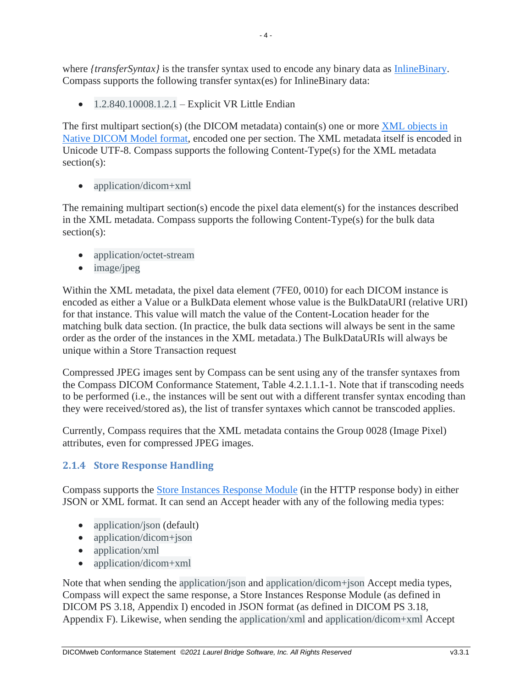where *{transferSyntax}* is the transfer syntax used to encode any binary data as [InlineBinary.](http://dicom.nema.org/medical/dicom/current/output/html/part18.html#sect_F.2.7) Compass supports the following transfer syntax(es) for InlineBinary data:

 $\bullet$  1.2.840.10008.1.2.1 – Explicit VR Little Endian

The first multipart section(s) (the DICOM metadata) contain(s) one or more XML objects in [Native DICOM Model format,](http://dicom.nema.org/medical/dicom/current/output/html/part19.html#sect_A.1) encoded one per section. The XML metadata itself is encoded in Unicode UTF-8. Compass supports the following Content-Type(s) for the XML metadata section(s):

• application/dicom+xml

The remaining multipart section(s) encode the pixel data element(s) for the instances described in the XML metadata. Compass supports the following Content-Type(s) for the bulk data section(s):

- application/octet-stream
- image/jpeg

Within the XML metadata, the pixel data element (7FE0, 0010) for each DICOM instance is encoded as either a Value or a BulkData element whose value is the BulkDataURI (relative URI) for that instance. This value will match the value of the Content-Location header for the matching bulk data section. (In practice, the bulk data sections will always be sent in the same order as the order of the instances in the XML metadata.) The BulkDataURIs will always be unique within a Store Transaction request

Compressed JPEG images sent by Compass can be sent using any of the transfer syntaxes from the Compass DICOM Conformance Statement, Table 4.2.1.1.1-1. Note that if transcoding needs to be performed (i.e., the instances will be sent out with a different transfer syntax encoding than they were received/stored as), the list of transfer syntaxes which cannot be transcoded applies.

Currently, Compass requires that the XML metadata contains the Group 0028 (Image Pixel) attributes, even for compressed JPEG images.

# <span id="page-4-0"></span>**2.1.4 Store Response Handling**

Compass supports the [Store Instances Response Module](http://dicom.nema.org/medical/dicom/current/output/html/part18.html#chapter_I) (in the HTTP response body) in either JSON or XML format. It can send an Accept header with any of the following media types:

- application/json (default)
- application/dicom+json
- application/xml
- application/dicom+xml

Note that when sending the application/json and application/dicom+json Accept media types, Compass will expect the same response, a Store Instances Response Module (as defined in DICOM PS 3.18, Appendix I) encoded in JSON format (as defined in DICOM PS 3.18, Appendix F). Likewise, when sending the application/xml and application/dicom+xml Accept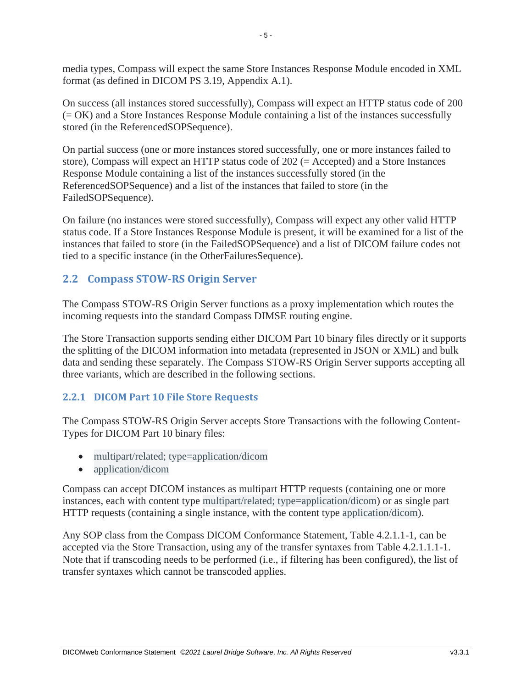media types, Compass will expect the same Store Instances Response Module encoded in XML format (as defined in DICOM PS 3.19, Appendix A.1).

On success (all instances stored successfully), Compass will expect an HTTP status code of 200 (= OK) and a Store Instances Response Module containing a list of the instances successfully stored (in the ReferencedSOPSequence).

On partial success (one or more instances stored successfully, one or more instances failed to store), Compass will expect an HTTP status code of 202 (= Accepted) and a Store Instances Response Module containing a list of the instances successfully stored (in the ReferencedSOPSequence) and a list of the instances that failed to store (in the FailedSOPSequence).

On failure (no instances were stored successfully), Compass will expect any other valid HTTP status code. If a Store Instances Response Module is present, it will be examined for a list of the instances that failed to store (in the FailedSOPSequence) and a list of DICOM failure codes not tied to a specific instance (in the OtherFailuresSequence).

# <span id="page-5-0"></span>**2.2 Compass STOW-RS Origin Server**

The Compass STOW-RS Origin Server functions as a proxy implementation which routes the incoming requests into the standard Compass DIMSE routing engine.

The Store Transaction supports sending either DICOM Part 10 binary files directly or it supports the splitting of the DICOM information into metadata (represented in JSON or XML) and bulk data and sending these separately. The Compass STOW-RS Origin Server supports accepting all three variants, which are described in the following sections.

# <span id="page-5-1"></span>**2.2.1 DICOM Part 10 File Store Requests**

The Compass STOW-RS Origin Server accepts Store Transactions with the following Content-Types for DICOM Part 10 binary files:

- multipart/related; type=application/dicom
- application/dicom

Compass can accept DICOM instances as multipart HTTP requests (containing one or more instances, each with content type multipart/related; type=application/dicom) or as single part HTTP requests (containing a single instance, with the content type application/dicom).

Any SOP class from the Compass DICOM Conformance Statement, Table 4.2.1.1-1, can be accepted via the Store Transaction, using any of the transfer syntaxes from Table 4.2.1.1.1-1. Note that if transcoding needs to be performed (i.e., if filtering has been configured), the list of transfer syntaxes which cannot be transcoded applies.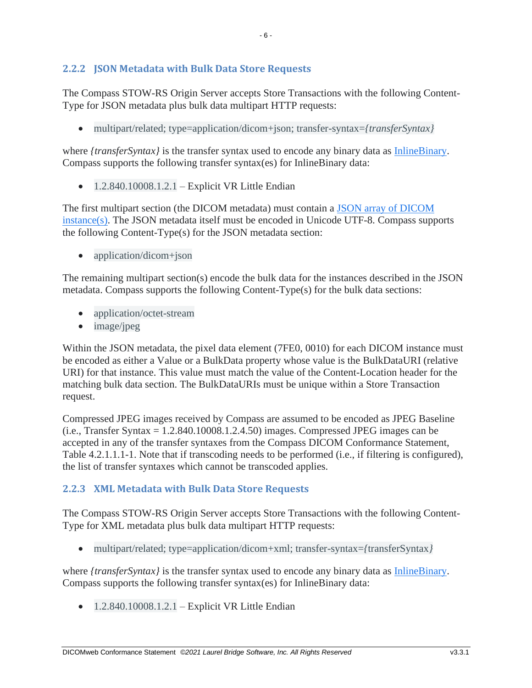# <span id="page-6-0"></span>**2.2.2 JSON Metadata with Bulk Data Store Requests**

The Compass STOW-RS Origin Server accepts Store Transactions with the following Content-Type for JSON metadata plus bulk data multipart HTTP requests:

• multipart/related; type=application/dicom+json; transfer-syntax=*{transferSyntax}*

where *{transferSyntax}* is the transfer syntax used to encode any binary data as [InlineBinary.](http://dicom.nema.org/medical/dicom/current/output/html/part18.html#sect_F.2.7) Compass supports the following transfer syntax(es) for InlineBinary data:

 $\bullet$  1.2.840.10008.1.2.1 – Explicit VR Little Endian

The first multipart section (the DICOM metadata) must contain a [JSON array of DICOM](http://dicom.nema.org/medical/dicom/current/output/html/part18.html#chapter_F)  [instance\(s\)](http://dicom.nema.org/medical/dicom/current/output/html/part18.html#chapter_F). The JSON metadata itself must be encoded in Unicode UTF-8. Compass supports the following Content-Type(s) for the JSON metadata section:

• application/dicom+json

The remaining multipart section(s) encode the bulk data for the instances described in the JSON metadata. Compass supports the following Content-Type(s) for the bulk data sections:

- application/octet-stream
- image/jpeg

Within the JSON metadata, the pixel data element (7FE0, 0010) for each DICOM instance must be encoded as either a Value or a BulkData property whose value is the BulkDataURI (relative URI) for that instance. This value must match the value of the Content-Location header for the matching bulk data section. The BulkDataURIs must be unique within a Store Transaction request.

Compressed JPEG images received by Compass are assumed to be encoded as JPEG Baseline  $(i.e., Transfer Syntax = 1.2.840.10008.1.2.4.50)$  images. Compressed JPEG images can be accepted in any of the transfer syntaxes from the Compass DICOM Conformance Statement, Table 4.2.1.1.1-1. Note that if transcoding needs to be performed (i.e., if filtering is configured), the list of transfer syntaxes which cannot be transcoded applies.

#### <span id="page-6-1"></span>**2.2.3 XML Metadata with Bulk Data Store Requests**

The Compass STOW-RS Origin Server accepts Store Transactions with the following Content-Type for XML metadata plus bulk data multipart HTTP requests:

• multipart/related; type=application/dicom+xml; transfer-syntax=*{*transferSyntax*}*

where *{transferSyntax}* is the transfer syntax used to encode any binary data as [InlineBinary.](http://dicom.nema.org/medical/dicom/current/output/html/part18.html#sect_F.2.7) Compass supports the following transfer syntax(es) for InlineBinary data:

 $\bullet$  1.2.840.10008.1.2.1 – Explicit VR Little Endian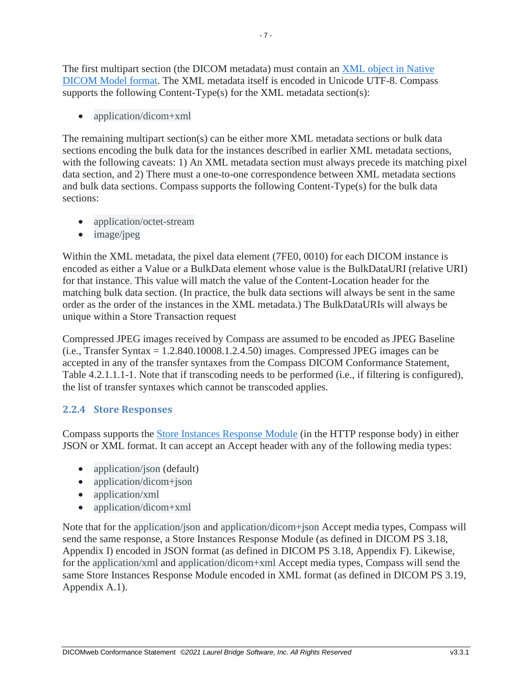The first multipart section (the DICOM metadata) must contain an [XML object in Native](http://dicom.nema.org/medical/dicom/current/output/html/part19.html#sect_A.1)  [DICOM Model format.](http://dicom.nema.org/medical/dicom/current/output/html/part19.html#sect_A.1) The XML metadata itself is encoded in Unicode UTF-8. Compass supports the following Content-Type(s) for the XML metadata section(s):

• application/dicom+xml

The remaining multipart section(s) can be either more XML metadata sections or bulk data sections encoding the bulk data for the instances described in earlier XML metadata sections, with the following caveats: 1) An XML metadata section must always precede its matching pixel data section, and 2) There must a one-to-one correspondence between XML metadata sections and bulk data sections. Compass supports the following Content-Type(s) for the bulk data sections:

- application/octet-stream
- image/jpeg

Within the XML metadata, the pixel data element (7FE0, 0010) for each DICOM instance is encoded as either a Value or a BulkData element whose value is the BulkDataURI (relative URI) for that instance. This value will match the value of the Content-Location header for the matching bulk data section. (In practice, the bulk data sections will always be sent in the same order as the order of the instances in the XML metadata.) The BulkDataURIs will always be unique within a Store Transaction request

Compressed JPEG images received by Compass are assumed to be encoded as JPEG Baseline  $(i.e., Transfer Syntax = 1.2.840.10008.1.2.4.50)$  images. Compressed JPEG images can be accepted in any of the transfer syntaxes from the Compass DICOM Conformance Statement, Table 4.2.1.1.1-1. Note that if transcoding needs to be performed (i.e., if filtering is configured), the list of transfer syntaxes which cannot be transcoded applies.

# <span id="page-7-0"></span>**2.2.4 Store Responses**

Compass supports the [Store Instances Response Module](http://dicom.nema.org/medical/dicom/current/output/html/part18.html#chapter_I) (in the HTTP response body) in either JSON or XML format. It can accept an Accept header with any of the following media types:

- application/json (default)
- application/dicom+json
- application/xml
- application/dicom+xml

Note that for the application/json and application/dicom+json Accept media types, Compass will send the same response, a Store Instances Response Module (as defined in DICOM PS 3.18, Appendix I) encoded in JSON format (as defined in DICOM PS 3.18, Appendix F). Likewise, for the application/xml and application/dicom+xml Accept media types, Compass will send the same Store Instances Response Module encoded in XML format (as defined in DICOM PS 3.19, Appendix A.1).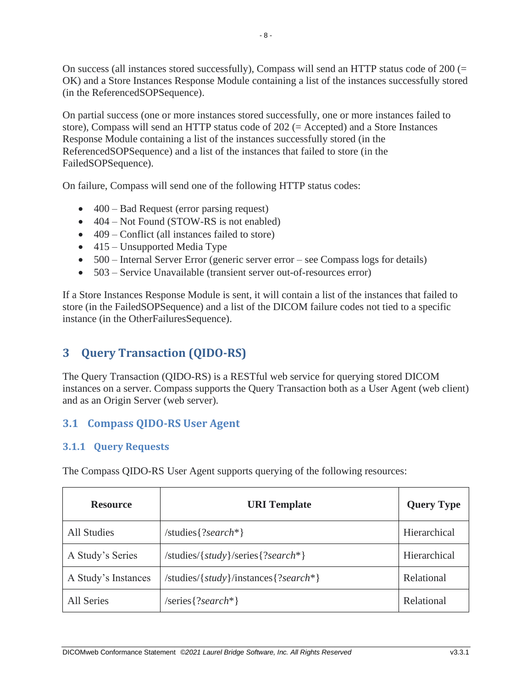On success (all instances stored successfully), Compass will send an HTTP status code of 200 (= OK) and a Store Instances Response Module containing a list of the instances successfully stored (in the ReferencedSOPSequence).

On partial success (one or more instances stored successfully, one or more instances failed to store), Compass will send an HTTP status code of 202 (= Accepted) and a Store Instances Response Module containing a list of the instances successfully stored (in the ReferencedSOPSequence) and a list of the instances that failed to store (in the FailedSOPSequence).

On failure, Compass will send one of the following HTTP status codes:

- 400 Bad Request (error parsing request)
- 404 Not Found (STOW-RS is not enabled)
- 409 Conflict (all instances failed to store)
- 415 Unsupported Media Type
- 500 Internal Server Error (generic server error see Compass logs for details)
- 503 Service Unavailable (transient server out-of-resources error)

If a Store Instances Response Module is sent, it will contain a list of the instances that failed to store (in the FailedSOPSequence) and a list of the DICOM failure codes not tied to a specific instance (in the OtherFailuresSequence).

# <span id="page-8-0"></span>**3 Query Transaction (QIDO-RS)**

The Query Transaction (QIDO-RS) is a RESTful web service for querying stored DICOM instances on a server. Compass supports the Query Transaction both as a User Agent (web client) and as an Origin Server (web server).

# <span id="page-8-1"></span>**3.1 Compass QIDO-RS User Agent**

# <span id="page-8-2"></span>**3.1.1 Query Requests**

The Compass QIDO-RS User Agent supports querying of the following resources:

| <b>Resource</b>     | <b>URI</b> Template                      | <b>Query Type</b> |
|---------------------|------------------------------------------|-------------------|
| <b>All Studies</b>  | /studies $\{?search*\}$                  | Hierarchical      |
| A Study's Series    | /studies/{ $study$ }/series{?search*}    | Hierarchical      |
| A Study's Instances | /studies/{ $study$ }/instances{?search*} | Relational        |
| All Series          | /series $\{?search*\}$                   | Relational        |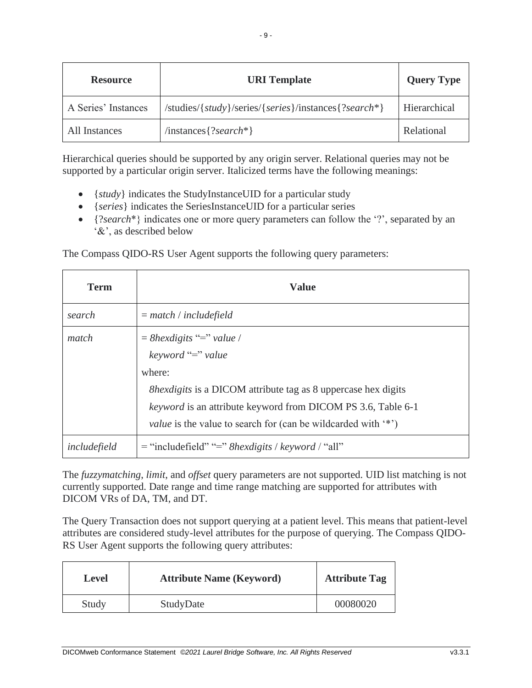| <b>Resource</b>     | <b>URI</b> Template                                  | <b>Query Type</b> |
|---------------------|------------------------------------------------------|-------------------|
| A Series' Instances | /studies/{study}/series/{series}/instances{?search*} | Hierarchical      |
| All Instances       | $\{?search*\}$                                       | Relational        |

Hierarchical queries should be supported by any origin server. Relational queries may not be supported by a particular origin server. Italicized terms have the following meanings:

- {*study*} indicates the StudyInstanceUID for a particular study
- {*series*} indicates the SeriesInstanceUID for a particular series
- {?*search*\*} indicates one or more query parameters can follow the '?', separated by an '&', as described below

The Compass QIDO-RS User Agent supports the following query parameters:

| <b>Term</b>  | <b>Value</b>                                                                                                                                                                                                                  |
|--------------|-------------------------------------------------------------------------------------------------------------------------------------------------------------------------------------------------------------------------------|
| search       | $=$ match / includefield                                                                                                                                                                                                      |
| match        | $= 8$ hexdigits "=" value /<br>keyword "=" value                                                                                                                                                                              |
|              | where:<br><i>Shexdigits</i> is a DICOM attribute tag as 8 uppercase hex digits<br><i>keyword</i> is an attribute keyword from DICOM PS 3.6, Table 6-1<br><i>value</i> is the value to search for (can be wildcarded with '*') |
| includefield | $=$ "includefield" "=" 8hexdigits / keyword / "all"                                                                                                                                                                           |

The *fuzzymatching*, *limit*, and *offset* query parameters are not supported. UID list matching is not currently supported. Date range and time range matching are supported for attributes with DICOM VRs of DA, TM, and DT.

The Query Transaction does not support querying at a patient level. This means that patient-level attributes are considered study-level attributes for the purpose of querying. The Compass QIDO-RS User Agent supports the following query attributes:

| Level | <b>Attribute Name (Keyword)</b> | <b>Attribute Tag</b> |
|-------|---------------------------------|----------------------|
| Study | StudyDate                       | 00080020             |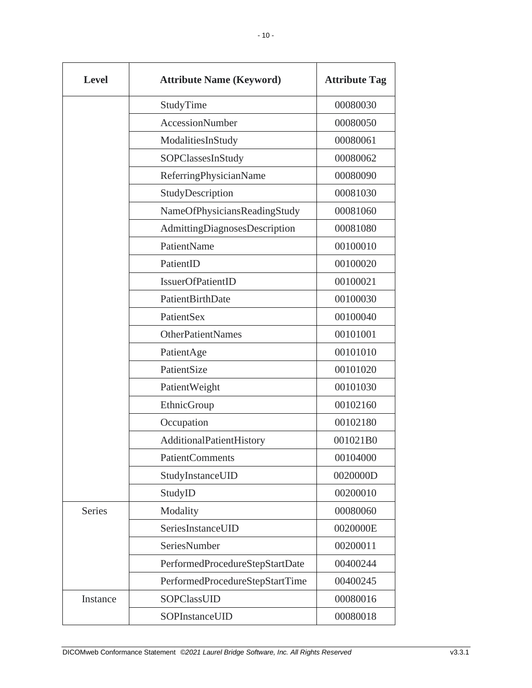| <b>Level</b>  | <b>Attribute Name (Keyword)</b> | <b>Attribute Tag</b> |
|---------------|---------------------------------|----------------------|
|               | StudyTime                       | 00080030             |
|               | <b>AccessionNumber</b>          | 00080050             |
|               | ModalitiesInStudy               | 00080061             |
|               | SOPClassesInStudy               | 00080062             |
|               | ReferringPhysicianName          | 00080090             |
|               | StudyDescription                | 00081030             |
|               | NameOfPhysiciansReadingStudy    | 00081060             |
|               | AdmittingDiagnosesDescription   | 00081080             |
|               | PatientName                     | 00100010             |
|               | PatientID                       | 00100020             |
|               | IssuerOfPatientID               | 00100021             |
|               | PatientBirthDate                | 00100030             |
|               | PatientSex                      | 00100040             |
|               | <b>OtherPatientNames</b>        | 00101001             |
|               | PatientAge                      | 00101010             |
|               | PatientSize                     | 00101020             |
|               | PatientWeight                   | 00101030             |
|               | EthnicGroup                     | 00102160             |
|               | Occupation                      | 00102180             |
|               | AdditionalPatientHistory        | 001021B0             |
|               | <b>PatientComments</b>          | 00104000             |
|               | StudyInstanceUID                | 0020000D             |
|               | StudyID                         | 00200010             |
| <b>Series</b> | Modality                        | 00080060             |
|               | SeriesInstanceUID               | 0020000E             |
|               | SeriesNumber                    | 00200011             |
|               | PerformedProcedureStepStartDate | 00400244             |
|               | PerformedProcedureStepStartTime | 00400245             |
| Instance      | SOPClassUID                     | 00080016             |
|               | SOPInstanceUID                  | 00080018             |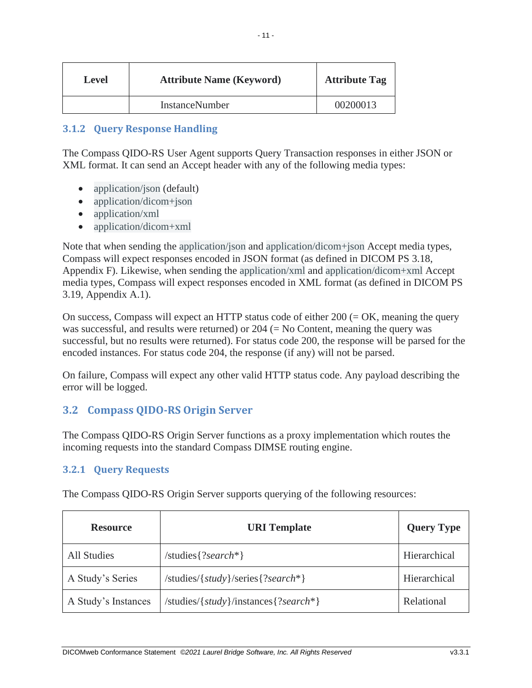| Level | <b>Attribute Name (Keyword)</b> | <b>Attribute Tag</b> |
|-------|---------------------------------|----------------------|
|       | InstanceNumber                  | 00200013             |

# <span id="page-11-0"></span>**3.1.2 Query Response Handling**

The Compass QIDO-RS User Agent supports Query Transaction responses in either JSON or XML format. It can send an Accept header with any of the following media types:

- application/json (default)
- application/dicom+json
- application/xml
- application/dicom+xml

Note that when sending the application/json and application/dicom+json Accept media types, Compass will expect responses encoded in JSON format (as defined in DICOM PS 3.18, Appendix F). Likewise, when sending the application/xml and application/dicom+xml Accept media types, Compass will expect responses encoded in XML format (as defined in DICOM PS 3.19, Appendix A.1).

On success, Compass will expect an HTTP status code of either  $200 (= OK$ , meaning the query was successful, and results were returned) or  $204$  (= No Content, meaning the query was successful, but no results were returned). For status code 200, the response will be parsed for the encoded instances. For status code 204, the response (if any) will not be parsed.

On failure, Compass will expect any other valid HTTP status code. Any payload describing the error will be logged.

# <span id="page-11-1"></span>**3.2 Compass QIDO-RS Origin Server**

The Compass QIDO-RS Origin Server functions as a proxy implementation which routes the incoming requests into the standard Compass DIMSE routing engine.

#### <span id="page-11-2"></span>**3.2.1 Query Requests**

| <b>Resource</b>     | <b>URI</b> Template                               | <b>Query Type</b> |
|---------------------|---------------------------------------------------|-------------------|
| All Studies         | /studies $\{?search*\}$                           | Hierarchical      |
| A Study's Series    | /studies/{ $study$ }/series{?search*}             | Hierarchical      |
| A Study's Instances | $\mathcal{S}$ studies/{study}/instances{?search*} | Relational        |

The Compass QIDO-RS Origin Server supports querying of the following resources: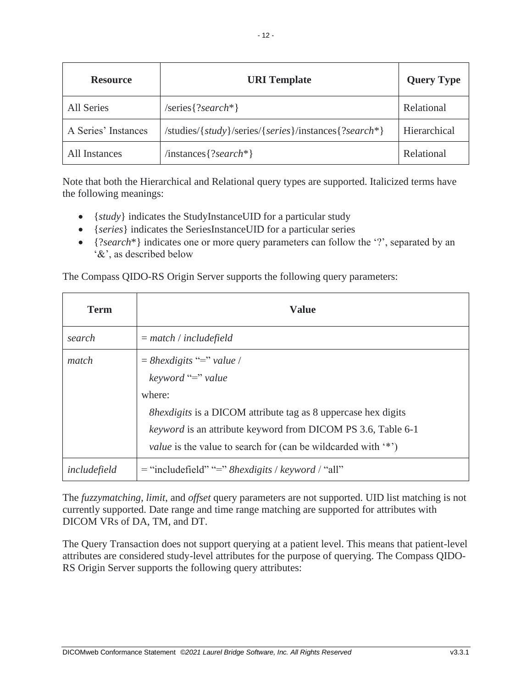| <b>Resource</b>     | <b>URI</b> Template                                  | <b>Query Type</b> |
|---------------------|------------------------------------------------------|-------------------|
| <b>All Series</b>   | $/series$ ?search*}                                  | Relational        |
| A Series' Instances | /studies/{study}/series/{series}/instances{?search*} | Hierarchical      |
| All Instances       | $\{?search*\}$                                       | Relational        |

Note that both the Hierarchical and Relational query types are supported. Italicized terms have the following meanings:

- {*study*} indicates the StudyInstanceUID for a particular study
- {*series*} indicates the SeriesInstanceUID for a particular series
- {*?search*<sup>\*</sup>} indicates one or more query parameters can follow the '?', separated by an '&', as described below

The Compass QIDO-RS Origin Server supports the following query parameters:

| <b>Term</b>  | <b>Value</b>                                                                                                                                                                                                                                                                     |
|--------------|----------------------------------------------------------------------------------------------------------------------------------------------------------------------------------------------------------------------------------------------------------------------------------|
| search       | $=$ match / includefield                                                                                                                                                                                                                                                         |
| match        | $=$ 8hexdigits "=" value /<br>keyword "=" value<br>where:<br><i>Shexdigits</i> is a DICOM attribute tag as 8 uppercase hex digits<br><i>keyword</i> is an attribute keyword from DICOM PS 3.6, Table 6-1<br><i>value</i> is the value to search for (can be wildcarded with '*') |
| includefield | $=$ "includefield" "=" 8hexdigits / keyword / "all"                                                                                                                                                                                                                              |

The *fuzzymatching*, *limit*, and *offset* query parameters are not supported. UID list matching is not currently supported. Date range and time range matching are supported for attributes with DICOM VRs of DA, TM, and DT.

The Query Transaction does not support querying at a patient level. This means that patient-level attributes are considered study-level attributes for the purpose of querying. The Compass QIDO-RS Origin Server supports the following query attributes: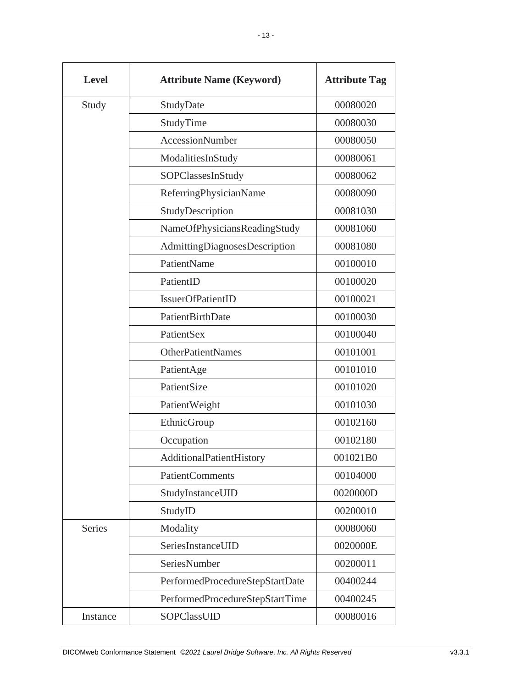| <b>Level</b>  | <b>Attribute Name (Keyword)</b> | <b>Attribute Tag</b> |
|---------------|---------------------------------|----------------------|
| Study         | StudyDate                       | 00080020             |
|               | StudyTime                       | 00080030             |
|               | <b>AccessionNumber</b>          | 00080050             |
|               | ModalitiesInStudy               | 00080061             |
|               | SOPClassesInStudy               | 00080062             |
|               | ReferringPhysicianName          | 00080090             |
|               | StudyDescription                | 00081030             |
|               | NameOfPhysiciansReadingStudy    | 00081060             |
|               | AdmittingDiagnosesDescription   | 00081080             |
|               | PatientName                     | 00100010             |
|               | PatientID                       | 00100020             |
|               | IssuerOfPatientID               | 00100021             |
|               | PatientBirthDate                | 00100030             |
|               | PatientSex                      | 00100040             |
|               | <b>OtherPatientNames</b>        | 00101001             |
|               | PatientAge                      | 00101010             |
|               | PatientSize                     | 00101020             |
|               | PatientWeight                   | 00101030             |
|               | EthnicGroup                     | 00102160             |
|               | Occupation                      | 00102180             |
|               | AdditionalPatientHistory        | 001021B0             |
|               | <b>PatientComments</b>          | 00104000             |
|               | StudyInstanceUID                | 0020000D             |
|               | StudyID                         | 00200010             |
| <b>Series</b> | Modality                        | 00080060             |
|               | SeriesInstanceUID               | 0020000E             |
|               | SeriesNumber                    | 00200011             |
|               | PerformedProcedureStepStartDate | 00400244             |
|               | PerformedProcedureStepStartTime | 00400245             |
| Instance      | SOPClassUID                     | 00080016             |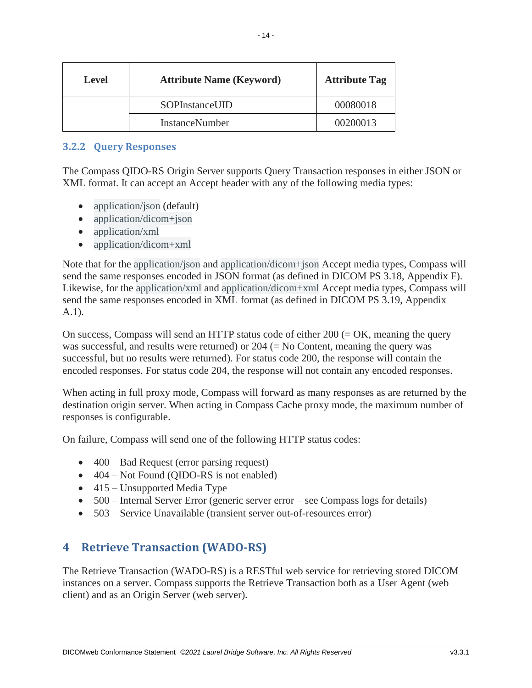| <b>Level</b> | <b>Attribute Name (Keyword)</b> | <b>Attribute Tag</b> |
|--------------|---------------------------------|----------------------|
|              | SOPInstanceUID                  | 00080018             |
|              | InstanceNumber                  | 00200013             |

#### <span id="page-14-0"></span>**3.2.2 Query Responses**

The Compass QIDO-RS Origin Server supports Query Transaction responses in either JSON or XML format. It can accept an Accept header with any of the following media types:

- application/json (default)
- application/dicom+json
- application/xml
- application/dicom+xml

Note that for the application/json and application/dicom+json Accept media types, Compass will send the same responses encoded in JSON format (as defined in DICOM PS 3.18, Appendix F). Likewise, for the application/xml and application/dicom+xml Accept media types, Compass will send the same responses encoded in XML format (as defined in DICOM PS 3.19, Appendix A.1).

On success, Compass will send an HTTP status code of either  $200 (= OK$ , meaning the query was successful, and results were returned) or  $204$  (= No Content, meaning the query was successful, but no results were returned). For status code 200, the response will contain the encoded responses. For status code 204, the response will not contain any encoded responses.

When acting in full proxy mode, Compass will forward as many responses as are returned by the destination origin server. When acting in Compass Cache proxy mode, the maximum number of responses is configurable.

On failure, Compass will send one of the following HTTP status codes:

- 400 Bad Request (error parsing request)
- 404 Not Found (OIDO-RS is not enabled)
- 415 Unsupported Media Type
- 500 Internal Server Error (generic server error see Compass logs for details)
- 503 Service Unavailable (transient server out-of-resources error)

# <span id="page-14-1"></span>**4 Retrieve Transaction (WADO-RS)**

The Retrieve Transaction (WADO-RS) is a RESTful web service for retrieving stored DICOM instances on a server. Compass supports the Retrieve Transaction both as a User Agent (web client) and as an Origin Server (web server).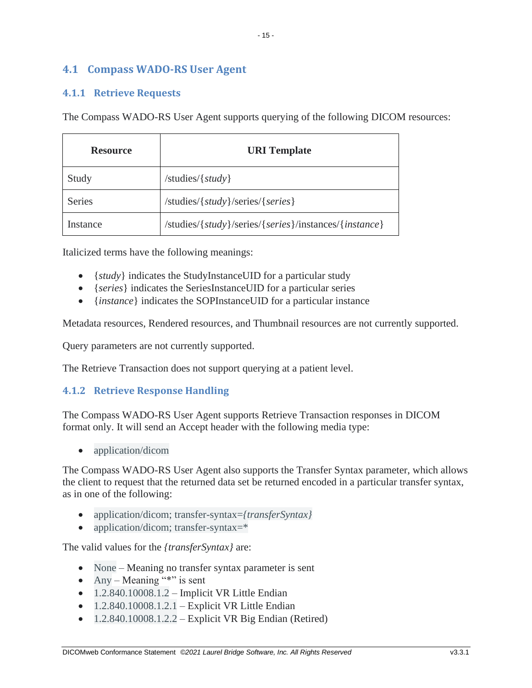# <span id="page-15-0"></span>**4.1 Compass WADO-RS User Agent**

# <span id="page-15-1"></span>**4.1.1 Retrieve Requests**

The Compass WADO-RS User Agent supports querying of the following DICOM resources:

| <b>Resource</b> | <b>URI</b> Template                                   |
|-----------------|-------------------------------------------------------|
| Study           | $/$ studies $/$ { <i>study</i> }                      |
| <b>Series</b>   | /studies/{study}/series/{series}                      |
| Instance        | /studies/{study}/series/{series}/instances/{instance} |

Italicized terms have the following meanings:

- {*study*} indicates the StudyInstanceUID for a particular study
- {*series*} indicates the SeriesInstanceUID for a particular series
- {*instance*} indicates the SOPInstanceUID for a particular instance

Metadata resources, Rendered resources, and Thumbnail resources are not currently supported.

Query parameters are not currently supported.

The Retrieve Transaction does not support querying at a patient level.

#### <span id="page-15-2"></span>**4.1.2 Retrieve Response Handling**

The Compass WADO-RS User Agent supports Retrieve Transaction responses in DICOM format only. It will send an Accept header with the following media type:

• application/dicom

The Compass WADO-RS User Agent also supports the Transfer Syntax parameter, which allows the client to request that the returned data set be returned encoded in a particular transfer syntax, as in one of the following:

- application/dicom; transfer-syntax=*{transferSyntax}*
- application/dicom; transfer-syntax=\*

The valid values for the *{transferSyntax}* are:

- None Meaning no transfer syntax parameter is sent
- Any Meaning "\*" is sent
- $\bullet$  1.2.840.10008.1.2 Implicit VR Little Endian
- $\bullet$  1.2.840.10008.1.2.1 Explicit VR Little Endian
- $1.2.840.10008.1.2.2$  Explicit VR Big Endian (Retired)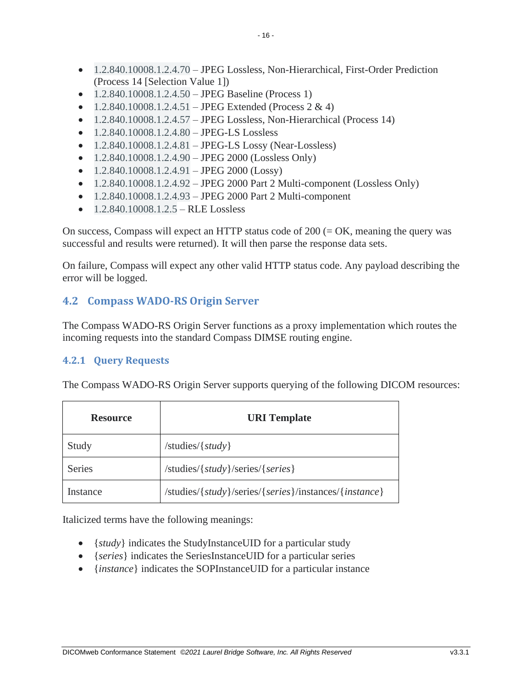- 1.2.840.10008.1.2.4.70 JPEG Lossless, Non-Hierarchical, First-Order Prediction (Process 14 [Selection Value 1])
- 1.2.840.10008.1.2.4.50 JPEG Baseline (Process 1)
- $1.2.840.10008.1.2.4.51 JPEG Extended (Process 2 & 4)$
- $1.2.840.10008.1.2.4.57 JPEG Lossless, Non-Hierarchical (Process 14)$
- $1.2.840.10008.1.2.4.80 JPEG-LS Lossless$
- $1.2.840.10008.1.2.4.81 JPEG-LS Lossy (Near-Lossless)$
- $1.2.840.10008.1.2.4.90 JPEG 2000 (Lossless Only)$
- $1.2.840.10008.1.2.4.91 JPEG 2000 (Lossy)$
- $1.2.840.10008.1.2.4.92 JPEG 2000 Part 2 Multi-component (Lossless Only)$
- $1.2.840.10008.1.2.4.93 JPEG 2000 Part 2 Multi-component$
- $1.2.840.10008.1.2.5 RLE Lossless$

On success, Compass will expect an HTTP status code of  $200 (= OK$ , meaning the query was successful and results were returned). It will then parse the response data sets.

On failure, Compass will expect any other valid HTTP status code. Any payload describing the error will be logged.

# <span id="page-16-0"></span>**4.2 Compass WADO-RS Origin Server**

The Compass WADO-RS Origin Server functions as a proxy implementation which routes the incoming requests into the standard Compass DIMSE routing engine.

#### <span id="page-16-1"></span>**4.2.1 Query Requests**

The Compass WADO-RS Origin Server supports querying of the following DICOM resources:

| <b>Resource</b> | <b>URI</b> Template                                   |
|-----------------|-------------------------------------------------------|
| Study           | /studies/ $\{study\}$                                 |
| <b>Series</b>   | /studies/{study}/series/{series}                      |
| Instance        | /studies/{study}/series/{series}/instances/{instance} |

Italicized terms have the following meanings:

- {*study*} indicates the StudyInstanceUID for a particular study
- {*series*} indicates the SeriesInstanceUID for a particular series
- {*instance*} indicates the SOPInstanceUID for a particular instance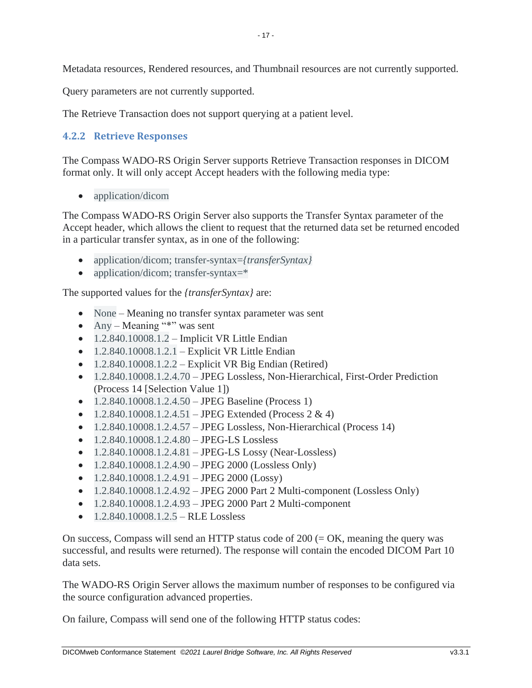Metadata resources, Rendered resources, and Thumbnail resources are not currently supported.

Query parameters are not currently supported.

The Retrieve Transaction does not support querying at a patient level.

#### <span id="page-17-0"></span>**4.2.2 Retrieve Responses**

The Compass WADO-RS Origin Server supports Retrieve Transaction responses in DICOM format only. It will only accept Accept headers with the following media type:

• application/dicom

The Compass WADO-RS Origin Server also supports the Transfer Syntax parameter of the Accept header, which allows the client to request that the returned data set be returned encoded in a particular transfer syntax, as in one of the following:

- application/dicom; transfer-syntax=*{transferSyntax}*
- application/dicom; transfer-syntax=\*

The supported values for the *{transferSyntax}* are:

- None Meaning no transfer syntax parameter was sent
- Any Meaning "\*" was sent
- $\bullet$  1.2.840.10008.1.2 Implicit VR Little Endian
- $1.2.840.10008.1.2.1$  Explicit VR Little Endian
- $1.2.840.10008.1.2.2$  Explicit VR Big Endian (Retired)
- 1.2.840.10008.1.2.4.70 JPEG Lossless, Non-Hierarchical, First-Order Prediction (Process 14 [Selection Value 1])
- 1.2.840.10008.1.2.4.50 JPEG Baseline (Process 1)
- $1.2.840.10008.1.2.4.51 JPEG Extended (Process 2 & 4)$
- $1.2.840.10008.1.2.4.57 JPEG Lossless, Non-Hierarchical (Process 14)$
- $1.2.840.10008.1.2.4.80 JPEG-LS Lossless$
- $1.2.840.10008.1.2.4.81 JPEG-LS Lossy (Near-Lossless)$
- $1.2.840.10008.1.2.4.90 JPEG 2000 (Lossless Only)$
- $1.2.840.10008.1.2.4.91 JPEG 2000 (Lossy)$
- $1.2.840.10008.1.2.4.92 JPEG 2000 Part 2 Multi-component (Lossless Only)$
- $1.2.840.10008.1.2.4.93 JPEG 2000 Part 2 Multi-component$
- $\bullet$  1.2.840.10008.1.2.5 RLE Lossless

On success, Compass will send an HTTP status code of  $200 (= OK$ , meaning the query was successful, and results were returned). The response will contain the encoded DICOM Part 10 data sets.

The WADO-RS Origin Server allows the maximum number of responses to be configured via the source configuration advanced properties.

On failure, Compass will send one of the following HTTP status codes: